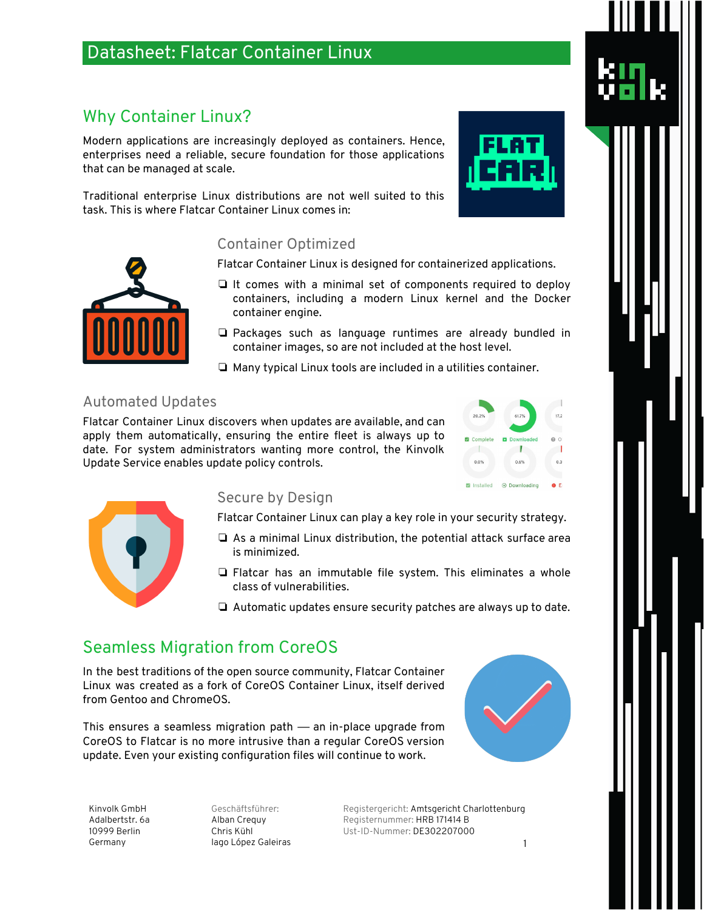# Datasheet: Flatcar Container Linux

# Why Container Linux?

Modern applications are increasingly deployed as containers. Hence, enterprises need a reliable, secure foundation for those applications that can be managed at scale.

Traditional enterprise Linux distributions are not well suited to this task. This is where Flatcar Container Linux comes in:

### Container Optimized

Flatcar Container Linux is designed for containerized applications.

- ❏ It comes with a minimal set of components required to deploy containers, including a modern Linux kernel and the Docker container engine.
- ❏ Packages such as language runtimes are already bundled in container images, so are not included at the host level.
- ❏ Many typical Linux tools are included in a utilities container.

### Automated Updates

Flatcar Container Linux discovers when updates are available, and can apply them automatically, ensuring the entire fleet is always up to date. For system administrators wanting more control, the Kinvolk Update Service enables update policy controls.





### Secure by Design

Flatcar Container Linux can play a key role in your security strategy.

- ❏ As a minimal Linux distribution, the potential attack surface area is minimized.
- ❏ Flatcar has an immutable file system. This eliminates a whole class of vulnerabilities.
- ❏ Automatic updates ensure security patches are always up to date.

# Seamless Migration from CoreOS

In the best traditions of the open source community, Flatcar Container Linux was created as a fork of CoreOS Container Linux, itself derived from Gentoo and ChromeOS.

This ensures a seamless migration path — an in-place upgrade from CoreOS to Flatcar is no more intrusive than a regular CoreOS version update. Even your existing configuration files will continue to work.



Kinvolk GmbH Adalbertstr. 6a 10999 Berlin Germany

Geschäftsführer: Alban Crequy Chris Kühl Iago López Galeiras

Registergericht: Amtsgericht Charlottenburg Registernummer: HRB 171414 B Ust-ID-Nummer: DE302207000



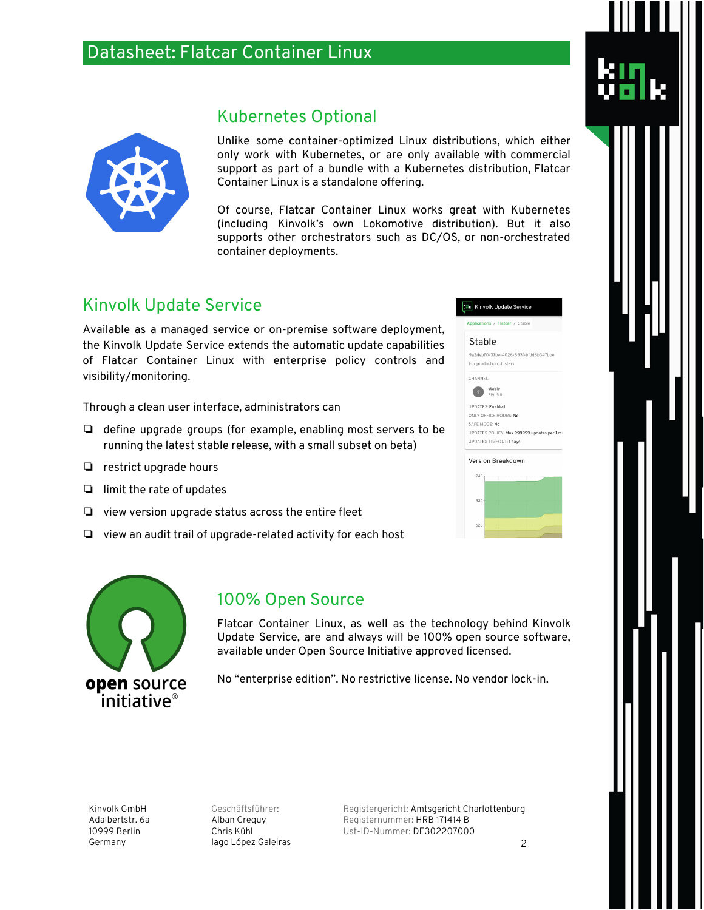# Datasheet: Flatcar Container Linux



Unlike some container-optimized Linux distributions, which either only work with Kubernetes, or are only available with commercial support as part of a bundle with a Kubernetes distribution, Flatcar Container Linux is a standalone offering.

Of course, Flatcar Container Linux works great with Kubernetes (including Kinvolk's own Lokomotive distribution). But it also supports other orchestrators such as DC/OS, or non-orchestrated container deployments.

## Kinvolk Update Service

Available as a managed service or on-premise software deployment, the Kinvolk Update Service extends the automatic update capabilities of Flatcar Container Linux with enterprise policy controls and visibility/monitoring.

Kubernetes Optional

Through a clean user interface, administrators can

- ❏ define upgrade groups (for example, enabling most servers to be running the latest stable release, with a small subset on beta)
- ❏ restrict upgrade hours
- ❏ limit the rate of updates
- ❏ view version upgrade status across the entire fleet
- ❏ view an audit trail of upgrade-related activity for each host



### Stable

9a2deb70-37be-4026-853f-bfdd6b347bbe For production clusters



UPDATES: Enabled ONLY OFFICE HOURS: No SAFE MODE: No UPDATES POLICY: Max 999999 updates per 1 m **UPDATES TIMEOUT:1 days** 

# Version Breakdown 933



### 100% Open Source

Flatcar Container Linux, as well as the technology behind Kinvolk Update Service, are and always will be 100% open source software, available under Open Source Initiative approved licensed.

No "enterprise edition". No restrictive license. No vendor lock-in.

Kinvolk GmbH Adalbertstr. 6a 10999 Berlin Germany

Geschäftsführer: Alban Crequy Chris Kühl Iago López Galeiras

Registergericht: Amtsgericht Charlottenburg Registernummer: HRB 171414 B Ust-ID-Nummer: DE302207000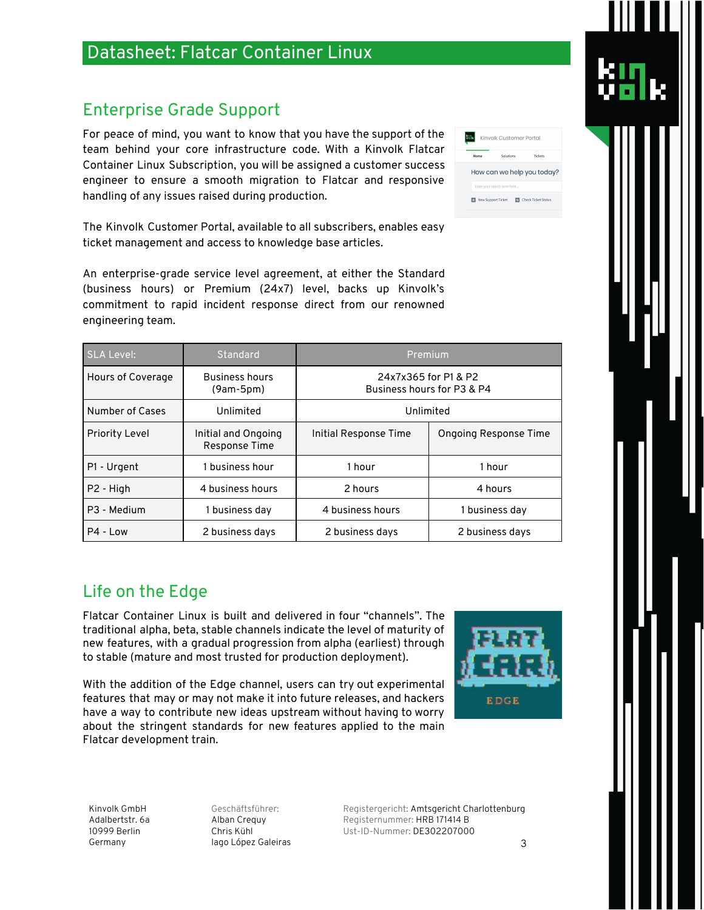#### Kinvolk GmbH Adalbertstr. 6a 10999 Berlin Germany

Geschäftsführer: Alban Crequy Chris Kühl Iago López Galeiras

Registergericht: Amtsgericht Charlottenburg Registernummer: HRB 171414 B Ust-ID-Nummer: DE302207000

# Datasheet: Flatcar Container Linux

# Enterprise Grade Support

For peace of mind, you want to know that you have the support of the team behind your core infrastructure code. With a Kinvolk Flatcar Container Linux Subscription, you will be assigned a customer success engineer to ensure a smooth migration to Flatcar and responsive handling of any issues raised during production.

The Kinvolk Customer Portal, available to all subscribers, enables easy ticket management and access to knowledge base articles.

An enterprise-grade service level agreement, at either the Standard (business hours) or Premium (24x7) level, backs up Kinvolk's commitment to rapid incident response direct from our renowned engineering team.

| <b>SLA Level:</b>     | Standard                             | Premium                                            |                              |
|-----------------------|--------------------------------------|----------------------------------------------------|------------------------------|
| Hours of Coverage     | <b>Business hours</b><br>$(9am-5pm)$ | 24x7x365 for P1 & P2<br>Business hours for P3 & P4 |                              |
| Number of Cases       | Unlimited                            | Unlimited                                          |                              |
| <b>Priority Level</b> | Initial and Ongoing<br>Response Time | Initial Response Time                              | <b>Ongoing Response Time</b> |
| P1 - Urgent           | 1 business hour                      | 1 hour                                             | 1 hour                       |
| P <sub>2</sub> - High | 4 business hours                     | 2 hours                                            | 4 hours                      |
| P3 - Medium           | 1 business day                       | 4 business hours                                   | 1 business day               |
| P4 - Low              | 2 business days                      | 2 business days                                    | 2 business days              |

# Life on the Edge

Flatcar Container Linux is built and delivered in four "channels". The traditional alpha, beta, stable channels indicate the level of maturity of new features, with a gradual progression from alpha (earliest) through to stable (mature and most trusted for production deployment).

With the addition of the Edge channel, users can try out experimental features that may or may not make it into future releases, and hackers have a way to contribute new ideas upstream without having to worry about the stringent standards for new features applied to the main Flatcar development train.

**ik** Kinvolk Customer Portal How can we help you today? **ES** New Support Ticket **ES** Check Ticket Status